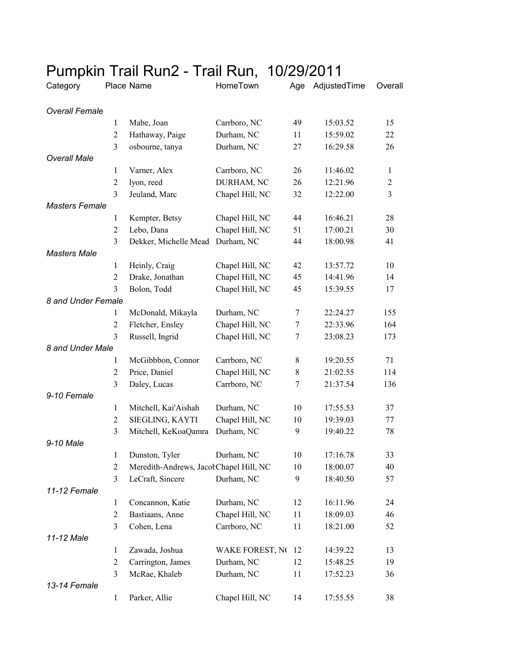| $\mathbf{v}$          |                |                                        | 11 MIL 1 VALI,  |    |                  |                |
|-----------------------|----------------|----------------------------------------|-----------------|----|------------------|----------------|
| Category              |                | Place Name                             | HomeTown        |    | Age AdjustedTime | Overall        |
| <b>Overall Female</b> |                |                                        |                 |    |                  |                |
|                       | 1              | Mabe, Joan                             | Carrboro, NC    | 49 | 15:03.52         | 15             |
|                       | $\overline{2}$ | Hathaway, Paige                        | Durham, NC      | 11 | 15:59.02         | 22             |
|                       | 3              | osbourne, tanya                        | Durham, NC      | 27 | 16:29.58         | 26             |
| <b>Overall Male</b>   |                |                                        |                 |    |                  |                |
|                       | $\mathbf{1}$   | Varner, Alex                           | Carrboro, NC    | 26 | 11:46.02         | $\mathbf{1}$   |
|                       | $\overline{c}$ | lyon, reed                             | DURHAM, NC      | 26 | 12:21.96         | $\sqrt{2}$     |
|                       | 3              | Jeuland, Marc                          | Chapel Hill, NC | 32 | 12:22.00         | $\overline{3}$ |
| <b>Masters Female</b> |                |                                        |                 |    |                  |                |
|                       | 1              | Kempter, Betsy                         | Chapel Hill, NC | 44 | 16:46.21         | 28             |
|                       | $\overline{2}$ | Lebo, Dana                             | Chapel Hill, NC | 51 | 17:00.21         | 30             |
|                       | 3              | Dekker, Michelle Mead Durham, NC       |                 | 44 | 18:00.98         | 41             |
| <b>Masters Male</b>   |                |                                        |                 |    |                  |                |
|                       | $\mathbf{1}$   | Heinly, Craig                          | Chapel Hill, NC | 42 | 13:57.72         | 10             |
|                       | 2              | Drake, Jonathan                        | Chapel Hill, NC | 45 | 14:41.96         | 14             |
|                       | 3              | Bolon, Todd                            | Chapel Hill, NC | 45 | 15:39.55         | 17             |
| 8 and Under Female    |                |                                        |                 |    |                  |                |
|                       | 1              | McDonald, Mikayla                      | Durham, NC      | 7  | 22:24.27         | 155            |
|                       | $\overline{2}$ | Fletcher, Ensley                       | Chapel Hill, NC | 7  | 22:33.96         | 164            |
|                       | 3              | Russell, Ingrid                        | Chapel Hill, NC | 7  | 23:08.23         | 173            |
| 8 and Under Male      |                |                                        |                 |    |                  |                |
|                       | 1              | McGibbbon, Connor                      | Carrboro, NC    | 8  | 19:20.55         | 71             |
|                       | 2              | Price, Daniel                          | Chapel Hill, NC | 8  | 21:02.55         | 114            |
|                       | 3              | Daley, Lucas                           | Carrboro, NC    | 7  | 21:37.54         | 136            |
| 9-10 Female           |                |                                        |                 |    |                  |                |
|                       | $\mathbf{1}$   | Mitchell, Kai'Aishah                   | Durham, NC      | 10 | 17:55.53         | 37             |
|                       | $\overline{c}$ | SIEGLING, KAYTI                        | Chapel Hill, NC | 10 | 19:39.03         | 77             |
|                       | 3              | Mitchell, KeKoaQamra                   | Durham, NC      | 9  | 19:40.22         | 78             |
| 9-10 Male             |                |                                        |                 |    |                  |                |
|                       | $\mathbf{I}$   | Dunston, Tyler                         | Durham, NC      | 10 | 17:16.78         | 33             |
|                       | $\mathfrak{2}$ | Meredith-Andrews, JacobChapel Hill, NC |                 | 10 | 18:00.07         | 40             |
|                       | 3              | LeCraft, Sincere                       | Durham, NC      | 9  | 18:40.50         | 57             |
| 11-12 Female          |                |                                        |                 |    |                  |                |
|                       | $\mathbf{1}$   | Concannon, Katie                       | Durham, NC      | 12 | 16:11.96         | 24             |
|                       | $\overline{c}$ | Bastiaans, Anne                        | Chapel Hill, NC | 11 | 18:09.03         | 46             |
|                       | 3              | Cohen, Lena                            | Carrboro, NC    | 11 | 18:21.00         | 52             |
| 11-12 Male            |                |                                        |                 |    |                  |                |
|                       | 1              | Zawada, Joshua                         | WAKE FOREST, NO | 12 | 14:39.22         | 13             |
|                       | $\overline{2}$ | Carrington, James                      | Durham, NC      | 12 | 15:48.25         | 19             |
|                       | 3              | McRae, Khaleb                          | Durham, NC      | 11 | 17:52.23         | 36             |
| 13-14 Female          |                |                                        |                 |    |                  |                |
|                       | $\mathbf{1}$   | Parker, Allie                          | Chapel Hill, NC | 14 | 17:55.55         | 38             |
|                       |                |                                        |                 |    |                  |                |

## Pumpkin Trail Run2 - Trail Run, 10/29/2011